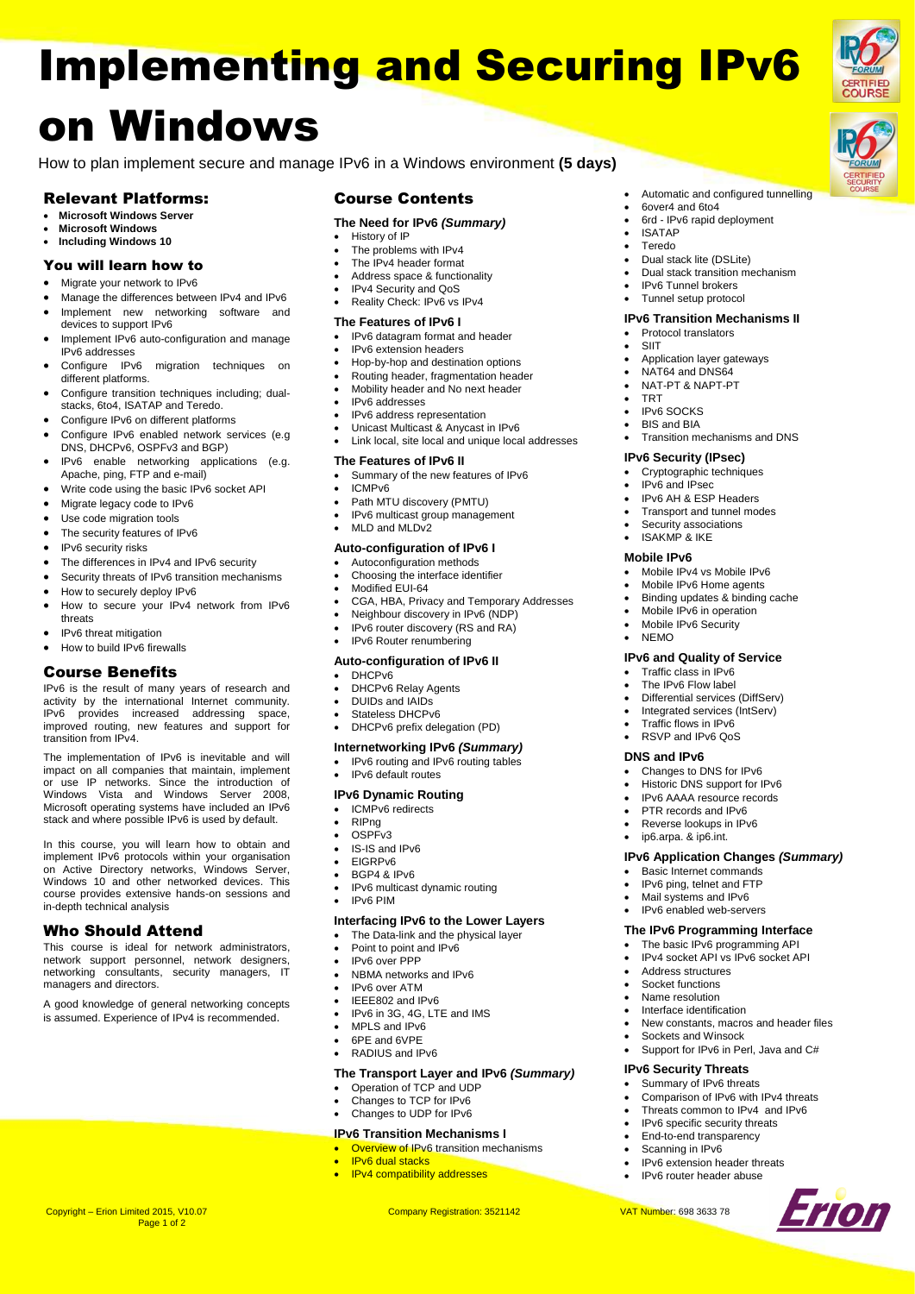

Automatic and configured tunnelling

 6over4 and 6to4 6rd - IPv6 rapid deployment

 Dual stack lite (DSLite) Dual stack transition mechanism

**IPv6 Transition Mechanisms II** Protocol translators

> Application layer gateways NAT64 and DNS64 NAT-PT & NAPT-PT

Transition mechanisms and DNS

 Mobile IPv4 vs Mobile IPv6 Mobile IPv6 Home agents Binding updates & binding cache Mobile IPv6 in operation Mobile IPv6 Security

**IPv6 and Quality of Service** Traffic class in IPv6 The IPv6 Flow label Differential services (DiffServ) Integrated services (IntServ) Traffic flows in IPv6 RSVP and IPv6 QoS

> Changes to DNS for IPv6 Historic DNS support for IPv6 IPv6 AAAA resource records PTR records and IPv6 Reverse lookups in IPv6 ip6.arpa. & ip6.int.

 Basic Internet commands IPv6 ping, telnet and FTP Mail systems and IPv6 IPv6 enabled web-servers **The IPv6 Programming Interface** The basic IPv6 programming API IPv4 socket API vs IPv6 socket API

 Address structures Socket functions Name resolution Interface identification

Sockets and Winsock

**IPv6 Security Threats** Summary of IPv6 threats

**IPv6 Application Changes** *(Summary)*

New constants, macros and header files

Support for IPv6 in Perl, Java and C#

 Comparison of IPv6 with IPv4 threats Threats common to IPv4 and IPv6 IPv6 specific security threats End-to-end transparency Scanning in IPv6

Erion

 IPv6 extension header threats • IPv6 router header abuse

**NEMO** 

**DNS and IPv6**

**IPv6 Security (IPsec)** Cryptographic techniques IPv6 and IPsec IPv6 AH & ESP Headers Transport and tunnel modes Security associations ISAKMP & IKE **Mobile IPv6**

 IPv6 Tunnel brokers Tunnel setup protocol

 ISATAP Teredo

**SIIT** 

 $\bullet$  TRT **.** IPv6 SOCKS BIS and BIA

# Implementing and Securing IPv6 on Windows

How to plan implement secure and manage IPv6 in a Windows environment **(5 days)**

### Relevant Platforms:

- **Microsoft Windows Server**
- **Microsoft Windows Including Windows 10**

# You will learn how to

- Migrate your network to IPv6 Manage the differences between IPv4 and IPv6
- Implement new networking software and
- devices to support IPv6 Implement IPv6 auto-configuration and manage
- IPv6 addresses Configure IPv6 migration techniques on different platforms.
- Configure transition techniques including; dualstacks, 6to4, ISATAP and Teredo.
- Configure IPv6 on different platforms
- Configure IPv6 enabled network services (e.g DNS, DHCPv6, OSPFv3 and BGP)
- IPv6 enable networking applications (e.g. Apache, ping, FTP and e-mail)
- Write code using the basic IPv6 socket API
- $\bullet$  Migrate legacy code to IPv6
- Use code migration tools
- The security features of IPv6
- IPv6 security risks
- The differences in IPv4 and IPv6 security
- Security threats of IPv6 transition mechanisms
- How to securely deploy IPv6
- How to secure your IPv4 network from IPv6 threats
- IPv6 threat mitigation
- How to build IPv6 firewalls

#### Course Benefits

IPv6 is the result of many years of research and activity by the international Internet community. IPv6 provides increased addressing space, improved routing, new features and support for transition from IPv4.

The implementation of IPv6 is inevitable and will impact on all companies that maintain, implement or use IP networks. Since the introduction of Windows Vista and Windows Server 2008, Microsoft operating systems have included an IPv6 stack and where possible IPv6 is used by default.

In this course, you will learn how to obtain and implement IPv6 protocols within your organisation on Active Directory networks, Windows Server, Windows 10 and other networked devices. This course provides extensive hands-on sessions and in-depth technical analysis

#### Who Should Attend

This course is ideal for network administrators, network support personnel, network designers, networking consultants, security managers, IT managers and directors.

A good knowledge of general networking concepts is assumed. Experience of IPv4 is recommended.

Page 1 of 2

#### Course Contents

#### **The Need for IPv6** *(Summary)*

- History of IP
- The problems with IPv4
- The IPv4 header format Address space & functionality
- IPv4 Security and QoS
- Reality Check: IPv6 vs IPv4

## **The Features of IPv6 I**

- IPv6 datagram format and header
- IPv6 extension headers
- Hop-by-hop and destination options
- Routing header, fragmentation header
- Mobility header and No next header
- IPv6 addresses
- IPv6 address representation
- Unicast Multicast & Anycast in IPv6
- Link local, site local and unique local addresses

#### **The Features of IPv6 II**

- Summary of the new features of IPv6
- ICMPv6
- Path MTU discovery (PMTU)
- IPv6 multicast group management
- MLD and MLDv2

#### **Auto-configuration of IPv6 I**

- Autoconfiguration methods
- Choosing the interface identifier
- Modified EUI-64
- CGA, HBA, Privacy and Temporary Addresses
- Neighbour discovery in IPv6 (NDP)
- IPv6 router discovery (RS and RA)
- IPv6 Router renumbering

#### **Auto-configuration of IPv6 II**

- DHCPv6
- DHCPv6 Relay Agents
- DUIDs and IAIDs
- Stateless DHCPv6
- DHCPv6 prefix delegation (PD)
- **Internetworking IPv6** *(Summary)*
- IPv6 routing and IPv6 routing tables
- IPv6 default routes

#### **IPv6 Dynamic Routing**

- ICMPv6 redirects
- RIPng
- OSPFv3
- IS-IS and IPv6
- EIGRPv6
- BGP4 & IPv6
- IPv6 multicast dynamic routing IPv6 PIM

#### **Interfacing IPv6 to the Lower Layers**

- The Data-link and the physical layer
- Point to point and IPv6
- IPv6 over PPP
- NBMA networks and IPv6
- IPv6 over ATM
- IEEE802 and IPv6
- IPv6 in 3G, 4G, LTE and IMS
- MPLS and IPv6
- 6PE and 6VPE
- RADIUS and IPv6

#### **The Transport Layer and IPv6** *(Summary)*

- Operation of TCP and UDP
- Changes to TCP for IPv6

# Changes to UDP for IPv6

- **IPv6 Transition Mechanisms I**
- **Overview of IPv6** transition mechanisms
- IPv6 dual stacks IPv4 compatibility addresses

Copyright – Erion Limited 2015, V10.07 Company Registration: 3521142 VAT Number: 698 3633 78